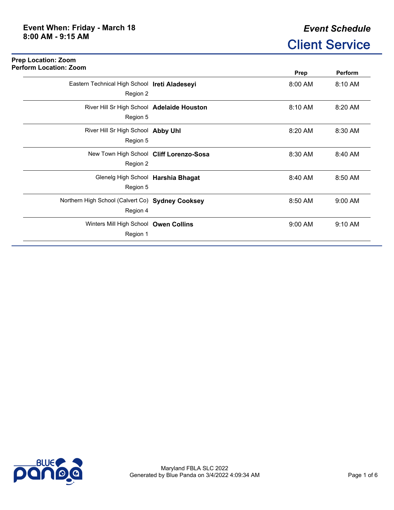## *Event Schedule* Client Service

| <b>Perform Location: Zoom</b>                    | Prep      | <b>Perform</b> |
|--------------------------------------------------|-----------|----------------|
| Eastern Technical High School Ireti Aladeseyi    | 8:00 AM   | 8:10 AM        |
| Region 2                                         |           |                |
| River Hill Sr High School Adelaide Houston       | 8:10 AM   | 8:20 AM        |
| Region 5                                         |           |                |
| River Hill Sr High School Abby Uhl               | 8:20 AM   | 8:30 AM        |
| Region 5                                         |           |                |
| New Town High School Cliff Lorenzo-Sosa          | 8:30 AM   | 8:40 AM        |
| Region 2                                         |           |                |
| Glenelg High School Harshia Bhagat               | 8:40 AM   | 8:50 AM        |
| Region 5                                         |           |                |
| Northern High School (Calvert Co) Sydney Cooksey | 8:50 AM   | 9:00 AM        |
| Region 4                                         |           |                |
| Winters Mill High School Owen Collins            | $9:00$ AM | $9:10$ AM      |
| Region 1                                         |           |                |

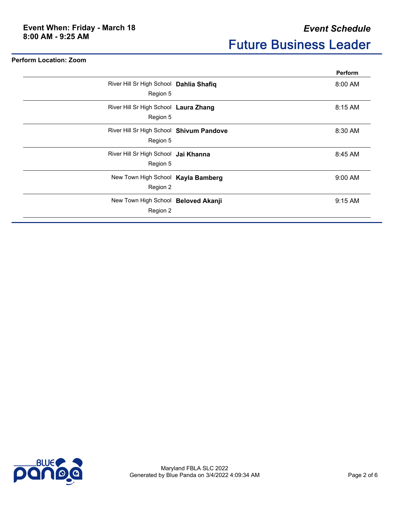**Perform Location: Zoom**

|                                                      | <b>Perform</b> |
|------------------------------------------------------|----------------|
| River Hill Sr High School Dahlia Shafiq<br>Region 5  | $8:00$ AM      |
| River Hill Sr High School Laura Zhang<br>Region 5    | 8:15 AM        |
| River Hill Sr High School Shivum Pandove<br>Region 5 | 8:30 AM        |
| River Hill Sr High School Jai Khanna<br>Region 5     | 8:45 AM        |
| New Town High School Kayla Bamberg<br>Region 2       | $9:00$ AM      |
| New Town High School Beloved Akanji<br>Region 2      | 9:15 AM        |

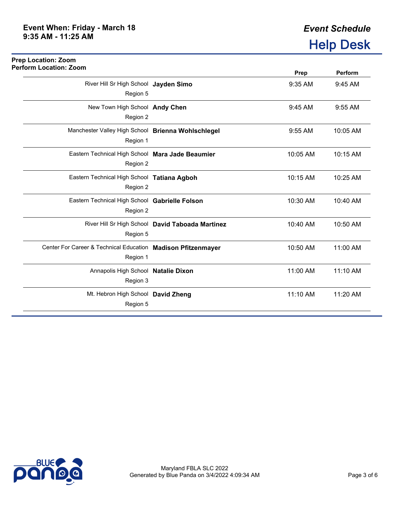## **Prep Location: Zoom Perform Location: Zoom**

| III LUCULIUII. LUUIII                                                    |                                                  | Prep     | Perform  |
|--------------------------------------------------------------------------|--------------------------------------------------|----------|----------|
| River Hill Sr High School Jayden Simo<br>Region 5                        |                                                  | 9:35 AM  | 9:45 AM  |
| New Town High School Andy Chen<br>Region 2                               |                                                  | 9:45 AM  | 9:55 AM  |
| Manchester Valley High School Brienna Wohlschlegel<br>Region 1           |                                                  | 9:55 AM  | 10:05 AM |
| Eastern Technical High School Mara Jade Beaumier<br>Region 2             |                                                  | 10:05 AM | 10:15 AM |
| Eastern Technical High School Tatiana Agboh<br>Region 2                  |                                                  | 10:15 AM | 10:25 AM |
| Eastern Technical High School Gabrielle Folson<br>Region 2               |                                                  | 10:30 AM | 10:40 AM |
| Region 5                                                                 | River Hill Sr High School David Taboada Martinez | 10:40 AM | 10:50 AM |
| Center For Career & Technical Education Madison Pfitzenmayer<br>Region 1 |                                                  | 10:50 AM | 11:00 AM |
| Annapolis High School Natalie Dixon<br>Region 3                          |                                                  | 11:00 AM | 11:10 AM |
| Mt. Hebron High School David Zheng<br>Region 5                           |                                                  | 11:10 AM | 11:20 AM |

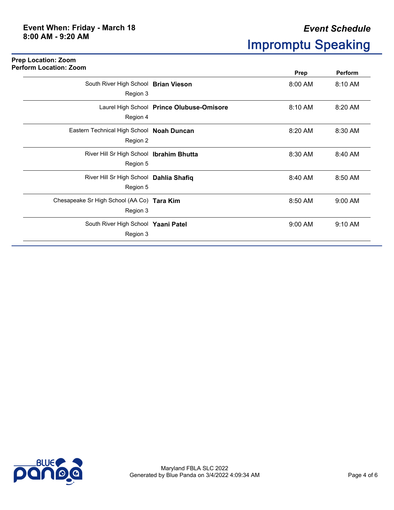**Prep Location: Zoom**

| <b>Perform Location: Zoom</b>                          |                                           | <b>Prep</b> | Perform |
|--------------------------------------------------------|-------------------------------------------|-------------|---------|
| South River High School Brian Vieson                   |                                           | 8:00 AM     | 8:10 AM |
| Region 3<br>Region 4                                   | Laurel High School Prince Olubuse-Omisore | 8:10 AM     | 8:20 AM |
| Eastern Technical High School Noah Duncan<br>Region 2  |                                           | 8:20 AM     | 8:30 AM |
| River Hill Sr High School Ibrahim Bhutta<br>Region 5   |                                           | 8:30 AM     | 8:40 AM |
| River Hill Sr High School Dahlia Shafiq<br>Region 5    |                                           | 8:40 AM     | 8:50 AM |
| Chesapeake Sr High School (AA Co) Tara Kim<br>Region 3 |                                           | 8:50 AM     | 9:00 AM |
| South River High School Yaani Patel<br>Region 3        |                                           | 9:00 AM     | 9:10 AM |

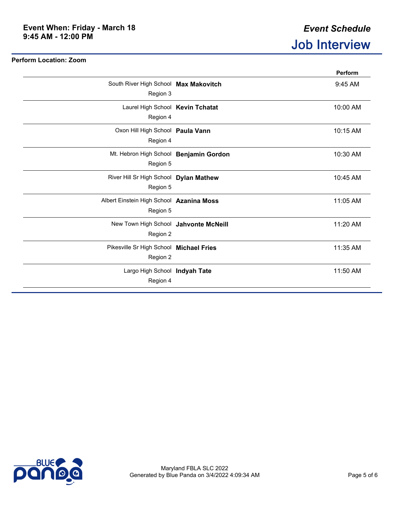|                                          | Perform  |
|------------------------------------------|----------|
| South River High School Max Makovitch    | 9:45 AM  |
| Region 3                                 |          |
| Laurel High School Kevin Tchatat         | 10:00 AM |
| Region 4                                 |          |
| Oxon Hill High School Paula Vann         | 10:15 AM |
| Region 4                                 |          |
| Mt. Hebron High School Benjamin Gordon   | 10:30 AM |
| Region 5                                 |          |
| River Hill Sr High School Dylan Mathew   | 10:45 AM |
| Region 5                                 |          |
| Albert Einstein High School Azanina Moss | 11:05 AM |
| Region 5                                 |          |
| New Town High School Jahvonte McNeill    | 11:20 AM |
| Region 2                                 |          |
| Pikesville Sr High School Michael Fries  | 11:35 AM |
| Region 2                                 |          |
| Largo High School Indyah Tate            | 11:50 AM |
| Region 4                                 |          |
|                                          |          |